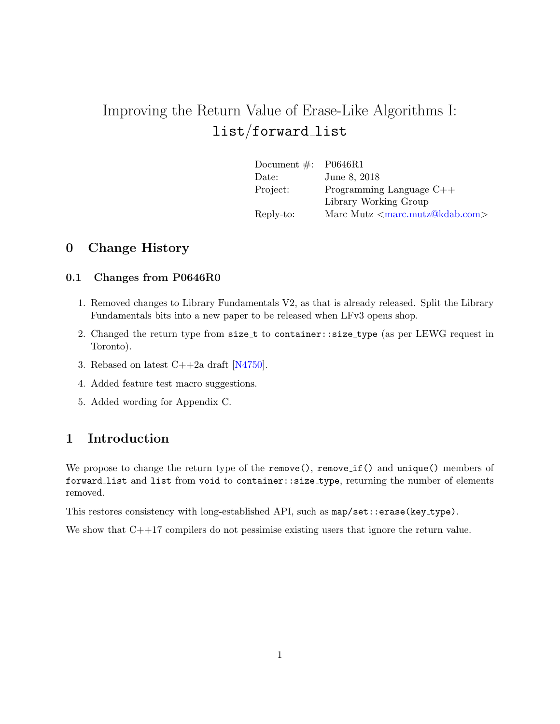# Improving the Return Value of Erase-Like Algorithms I: list/forward list

| Document $\#$ : P0646R1 |                                         |
|-------------------------|-----------------------------------------|
| Date:                   | June 8, 2018                            |
| Project:                | Programming Language $C++$              |
|                         | Library Working Group                   |
| Reply-to:               | Marc Mutz $\langle$ marc.mutz@kdab.com> |

## 0 Change History

#### 0.1 Changes from P0646R0

- 1. Removed changes to Library Fundamentals V2, as that is already released. Split the Library Fundamentals bits into a new paper to be released when LFv3 opens shop.
- 2. Changed the return type from size\_t to container::size\_type (as per LEWG request in Toronto).
- 3. Rebased on latest C++2a draft [\[N4750\]](#page-5-0).
- 4. Added feature test macro suggestions.
- 5. Added wording for Appendix C.

## 1 Introduction

We propose to change the return type of the remove(), remove if() and unique() members of forward list and list from void to container::size type, returning the number of elements removed.

This restores consistency with long-established API, such as  $map/sec$ ::erase(key\_type).

We show that  $C++17$  compilers do not pessimise existing users that ignore the return value.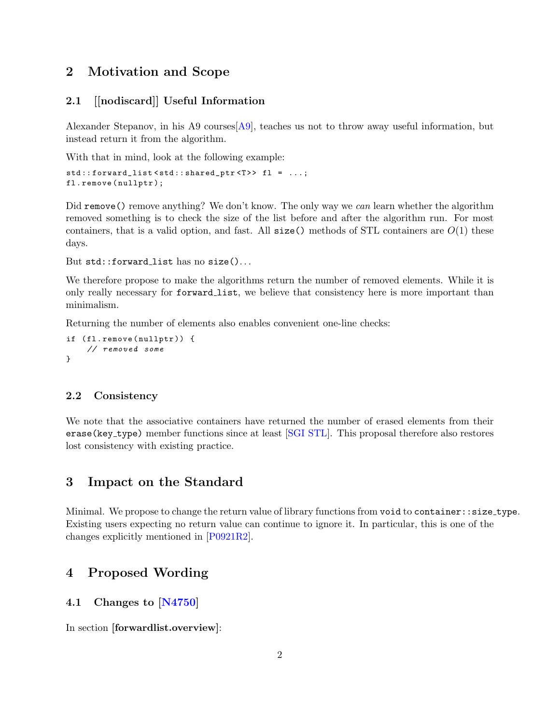## 2 Motivation and Scope

#### 2.1 [[nodiscard]] Useful Information

Alexander Stepanov, in his A9 courses [\[A9\]](#page-5-1), teaches us not to throw away useful information, but instead return it from the algorithm.

With that in mind, look at the following example:

```
std::forward_list<std::shared_ptr<T>> fl = ...;
fl . remove ( nullptr );
```
Did remove () remove anything? We don't know. The only way we can learn whether the algorithm removed something is to check the size of the list before and after the algorithm run. For most containers, that is a valid option, and fast. All  $size()$  methods of STL containers are  $O(1)$  these days.

But std::forward\_list has no size()...

We therefore propose to make the algorithms return the number of removed elements. While it is only really necessary for forward list, we believe that consistency here is more important than minimalism.

Returning the number of elements also enables convenient one-line checks:

```
if (fl.remove(nullptr)) {
    // removed some
}
```
#### 2.2 Consistency

We note that the associative containers have returned the number of erased elements from their erase(key type) member functions since at least [\[SGI STL\]](#page-5-2). This proposal therefore also restores lost consistency with existing practice.

#### 3 Impact on the Standard

Minimal. We propose to change the return value of library functions from void to container::size type. Existing users expecting no return value can continue to ignore it. In particular, this is one of the changes explicitly mentioned in [\[P0921R2\]](#page-5-3).

#### 4 Proposed Wording

#### 4.1 Changes to [\[N4750\]](#page-5-0)

In section [forwardlist.overview]: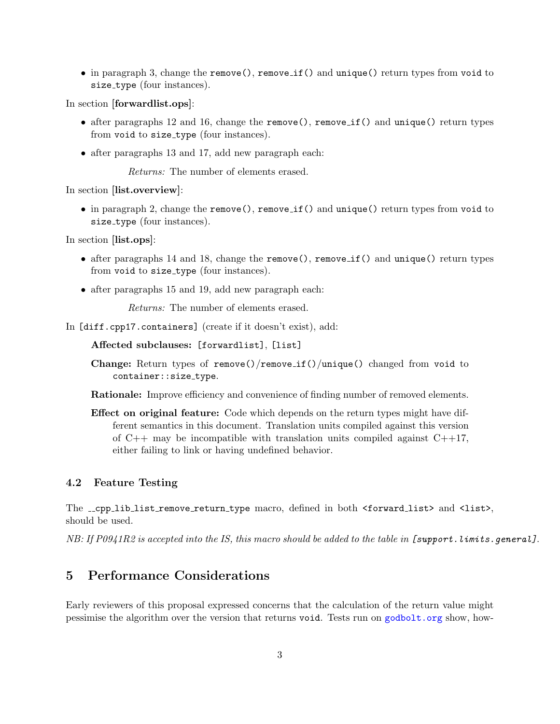• in paragraph 3, change the remove(), remove\_if() and unique() return types from void to size\_type (four instances).

In section [forwardlist.ops]:

- after paragraphs 12 and 16, change the remove(), remove if() and unique() return types from void to size\_type (four instances).
- after paragraphs 13 and 17, add new paragraph each:

Returns: The number of elements erased.

In section [list.overview]:

 $\bullet$  in paragraph 2, change the remove(), remove if() and unique() return types from void to size\_type (four instances).

In section [list.ops]:

- after paragraphs 14 and 18, change the remove(), remove\_if() and unique() return types from void to size\_type (four instances).
- after paragraphs 15 and 19, add new paragraph each:

Returns: The number of elements erased.

In [diff.cpp17.containers] (create if it doesn't exist), add:

Affected subclauses: [forwardlist], [list]

Change: Return types of remove()/remove if()/unique() changed from void to container::size\_type.

Rationale: Improve efficiency and convenience of finding number of removed elements.

Effect on original feature: Code which depends on the return types might have different semantics in this document. Translation units compiled against this version of  $C_{++}$  may be incompatible with translation units compiled against  $C_{++}17$ , either failing to link or having undefined behavior.

#### 4.2 Feature Testing

The \_cpp\_lib\_list\_remove\_return\_type macro, defined in both <forward\_list> and <list>, should be used.

 $NB:$  If  $P0941R2$  is accepted into the IS, this macro should be added to the table in [support.limits.general].

## 5 Performance Considerations

Early reviewers of this proposal expressed concerns that the calculation of the return value might pessimise the algorithm over the version that returns void. Tests run on <godbolt.org> show, how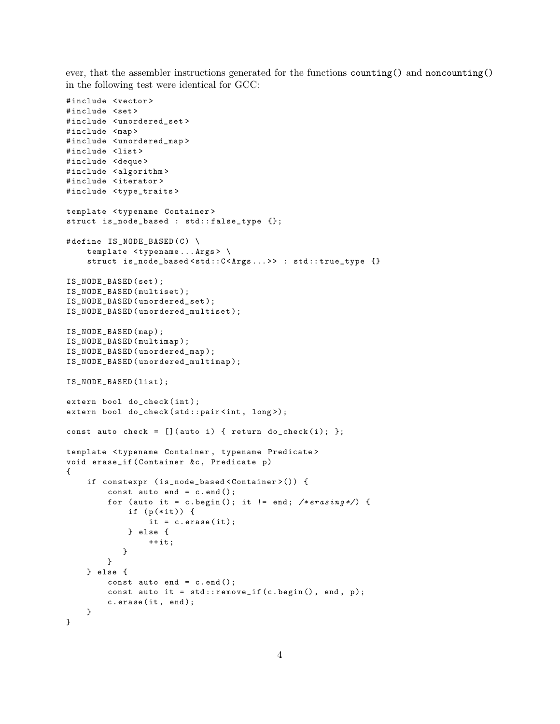ever, that the assembler instructions generated for the functions counting() and noncounting() in the following test were identical for GCC:

```
# include < vector >
#include <set>
# include < unordered_set >
#include <map>
# include < unordered_map >
#include <list>
# include < deque >
#include <algorithm>
# include < iterator >
#include <type_traits>
template < typename Container >
struct is_node_based : std :: false_type {};
#define IS_NODE_BASED(C) \
    template <typename...Args> \
    struct is_node_based<std::C<Args...>> : std::true_type {}
IS_NODE_BASED ( set );
IS_NODE_BASED ( multiset );
IS_NODE_BASED ( unordered_set );
IS_NODE_BASED ( unordered_multiset );
IS_NODE_BASED ( map );
IS_NODE_BASED ( multimap );
IS_NODE_BASED ( unordered_map );
IS_NODE_BASED ( unordered_multimap );
IS_NODE_BASED ( list );
extern bool do_check(int);
extern bool do_check (std::pair<int, long>);
const auto check = [] (auto i) { return do_check(i); };
template < typename Container , typename Predicate >
void erase_if ( Container &c, Predicate p)
{
    if constexpr ( is_node_based < Container >()) {
         const auto end = c. end();
        for (auto it = c.begin(); it != end; /*erasing*/) {
             if (p(*it)) {
                 it = c. erase (it);} else {
                 ++ it;}
        }
    } else {
        const auto end = c. end();
        const auto it = std::remove_if(c.\begin{bmatrix} c.\begin{bmatrix} begin \end{bmatrix}), end, p);c.erase(it, end);
    }
}
```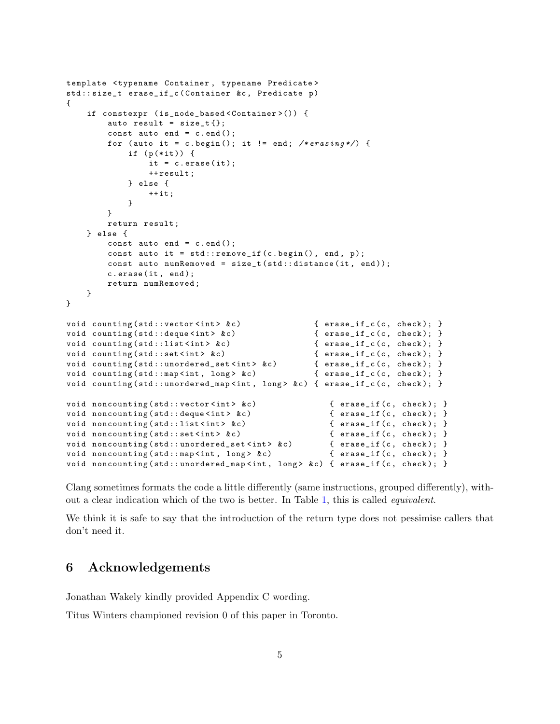```
template < typename Container , typename Predicate >
std:: size_t erase_if_c ( Container &c, Predicate p)
{
    if constexpr ( is_node_based < Container >()) {
        auto result = size_t{}{};
        const auto end = c. end();
        for (auto it = c.begin(); it != end; /*erasing*/) {
            if (p(*it)) {
                 it = c. erase (it);++ result ;
            } else {
                ++it:}
        }
        return result ;
    } else {
        const auto end = c. end ();
        const auto it = std::remove_if(c.\begin{bmatrix} c.\begin{bmatrix} begin \end{bmatrix}), end, p);const auto numRemoved = size_t(stat::distance(it, end));c.erase(it, end);
        return numRemoved ;
    }
}
void counting (std:: vector <int> & c) { erase_if_c (c, check); }
void counting (std:: deque <int > &c) { erase_if_c (c, check); }
void counting (std::list <int> &c) { erase_if_c (c, check); }
void counting ( std :: set < int > & c ) { erase_if_c (c, check ); }<br>void counting ( std :: unordered_set < int > & c ) { erase_if_c ( c, check ); }
void counting (std:: unordered_set <int> &c)
void counting (std:: map < int, long > & c) \{ erase_if_c (c, check); \}void counting (std::unordered_map <int, long> &c) { erase_if_c(c, check); }
void noncounting (std:: vector <int> &c) { erase_if (c, check); }
void noncounting (std:: deque < int > & c ) { erase_if (c, check); }
void noncounting (std::list <int> &c) { erase_if (c, check); }
void noncounting (std:: set <int > & c) { erase_if (c, check); }
void noncounting (std::unordered_set <int> &c) { erase_if (c, check); }
void noncounting (std::map <int, long> &c) { erase_if (c, check); }
void noncounting (std::unordered_map < int, long> & c) { erase_if (c, check); }
```
Clang sometimes formats the code a little differently (same instructions, grouped differently), without a clear indication which of the two is better. In Table [1,](#page-5-4) this is called equivalent.

We think it is safe to say that the introduction of the return type does not pessimise callers that don't need it.

## 6 Acknowledgements

Jonathan Wakely kindly provided Appendix C wording.

Titus Winters championed revision 0 of this paper in Toronto.